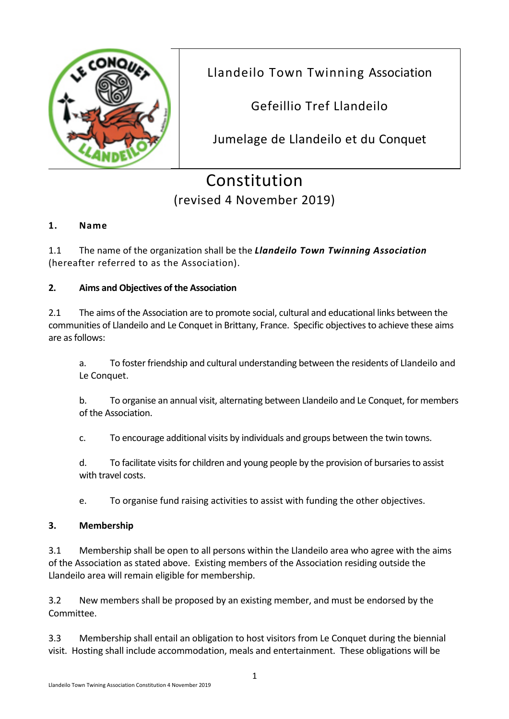

Llandeilo Town Twinning Association

Gefeillio Tref Llandeilo

Jumelage de Llandeilo et du Conquet

# Constitution (revised 4 November 2019)

# **1. Name**

1.1 The name of the organization shall be the *Llandeilo Town Twinning Association* (hereafter referred to as the Association).

### **2. Aims and Objectives of the Association**

2.1 The aims of the Association are to promote social, cultural and educational links between the communities of Llandeilo and Le Conquet in Brittany, France. Specific objectivesto achieve these aims are as follows:

a. To foster friendship and cultural understanding between the residents of Llandeilo and Le Conquet.

b. To organise an annual visit, alternating between Llandeilo and Le Conquet, for members of the Association.

c. To encourage additional visits by individuals and groups between the twin towns.

d. To facilitate visits for children and young people by the provision of bursaries to assist with travel costs.

e. To organise fund raising activities to assist with funding the other objectives.

#### **3. Membership**

3.1 Membership shall be open to all persons within the Llandeilo area who agree with the aims of the Association as stated above. Existing members of the Association residing outside the Llandeilo area will remain eligible for membership.

3.2 New members shall be proposed by an existing member, and must be endorsed by the Committee.

3.3 Membership shall entail an obligation to host visitors from Le Conquet during the biennial visit. Hosting shall include accommodation, meals and entertainment. These obligations will be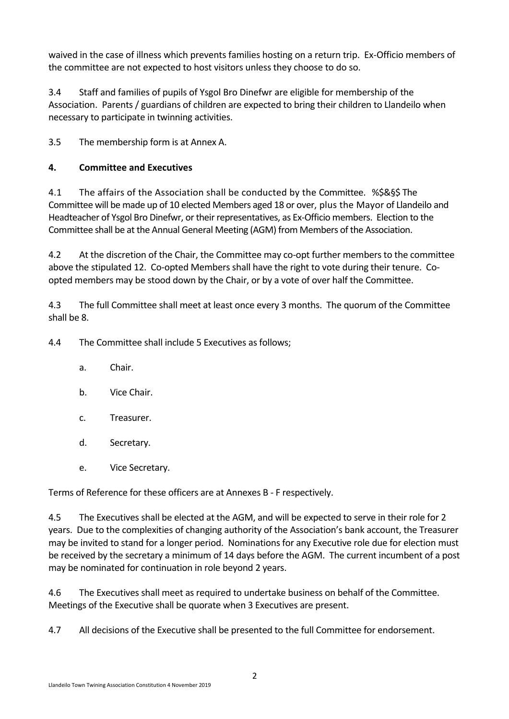waived in the case of illness which prevents families hosting on a return trip. Ex‐Officio members of the committee are not expected to host visitors unless they choose to do so.

3.4 Staff and families of pupils of Ysgol Bro Dinefwr are eligible for membership of the Association. Parents / guardians of children are expected to bring their children to Llandeilo when necessary to participate in twinning activities.

3.5 The membership form is at Annex A.

# **4. Committee and Executives**

4.1 The affairs of the Association shall be conducted by the Committee. %\$&§\$ The Committee will be made up of 10 elected Members aged 18 or over, plus the Mayor of Llandeilo and Headteacher of Ysgol Bro Dinefwr, or their representatives, as Ex‐Officio members. Election to the Committee shall be at the Annual General Meeting (AGM) from Members of the Association.

4.2 At the discretion of the Chair, the Committee may co-opt further members to the committee above the stipulated 12. Co-opted Members shall have the right to vote during their tenure. Coopted members may be stood down by the Chair, or by a vote of over half the Committee.

4.3 The full Committee shall meet at least once every 3 months. The quorum of the Committee shall be 8.

4.4 The Committee shall include 5 Executives as follows;

- a. Chair.
- b. Vice Chair.
- c. Treasurer.
- d. Secretary.
- e. Vice Secretary.

Terms of Reference for these officers are at Annexes B ‐ F respectively.

4.5 The Executives shall be elected at the AGM, and will be expected to serve in their role for 2 years. Due to the complexities of changing authority of the Association's bank account, the Treasurer may be invited to stand for a longer period. Nominations for any Executive role due for election must be received by the secretary a minimum of 14 days before the AGM. The current incumbent of a post may be nominated for continuation in role beyond 2 years.

4.6 The Executives shall meet as required to undertake business on behalf of the Committee. Meetings of the Executive shall be quorate when 3 Executives are present.

4.7 All decisions of the Executive shall be presented to the full Committee for endorsement.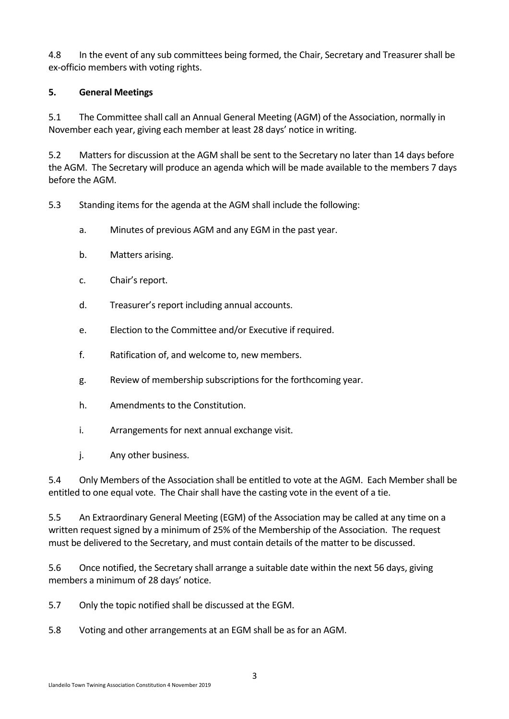4.8 In the event of any sub committees being formed, the Chair, Secretary and Treasurer shall be ex‐officio members with voting rights.

#### **5. General Meetings**

5.1 The Committee shall call an Annual General Meeting (AGM) of the Association, normally in November each year, giving each member at least 28 days' notice in writing.

5.2 Matters for discussion at the AGM shall be sent to the Secretary no later than 14 days before the AGM. The Secretary will produce an agenda which will be made available to the members 7 days before the AGM.

5.3 Standing items for the agenda at the AGM shall include the following:

- a. Minutes of previous AGM and any EGM in the past year.
- b. Matters arising.
- c. Chair's report.
- d. Treasurer's report including annual accounts.
- e. Election to the Committee and/or Executive if required.
- f. Ratification of, and welcome to, new members.
- g. Review of membership subscriptions for the forthcoming year.
- h. Amendments to the Constitution.
- i. Arrangements for next annual exchange visit.
- j. Any other business.

5.4 Only Members of the Association shall be entitled to vote at the AGM. Each Member shall be entitled to one equal vote. The Chair shall have the casting vote in the event of a tie.

5.5 An Extraordinary General Meeting (EGM) of the Association may be called at any time on a written request signed by a minimum of 25% of the Membership of the Association. The request must be delivered to the Secretary, and must contain details of the matter to be discussed.

5.6 Once notified, the Secretary shall arrange a suitable date within the next 56 days, giving members a minimum of 28 days' notice.

5.7 Only the topic notified shall be discussed at the EGM.

5.8 Voting and other arrangements at an EGM shall be as for an AGM.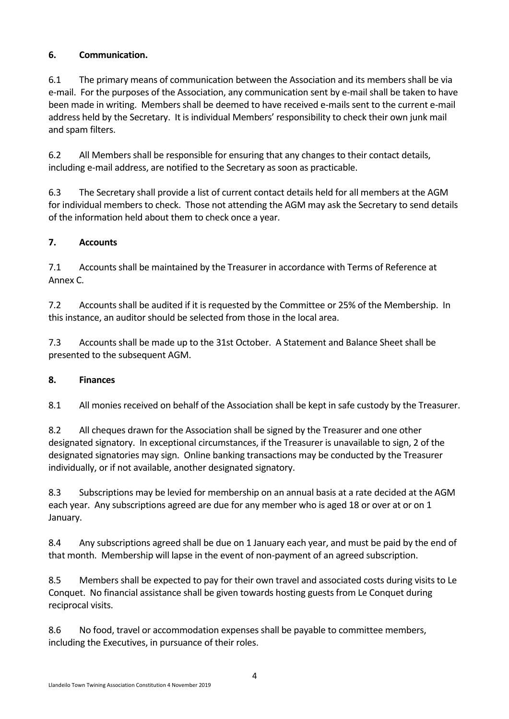# **6. Communication.**

6.1 The primary means of communication between the Association and its members shall be via e-mail. For the purposes of the Association, any communication sent by e-mail shall be taken to have been made in writing. Members shall be deemed to have received e‐mails sent to the current e‐mail address held by the Secretary. It is individual Members' responsibility to check their own junk mail and spam filters.

6.2 All Members shall be responsible for ensuring that any changes to their contact details, including e‐mail address, are notified to the Secretary as soon as practicable.

6.3 The Secretary shall provide a list of current contact details held for all members at the AGM for individual members to check. Those not attending the AGM may ask the Secretary to send details of the information held about them to check once a year.

# **7. Accounts**

7.1 Accounts shall be maintained by the Treasurer in accordance with Terms of Reference at Annex C.

7.2 Accounts shall be audited if it is requested by the Committee or 25% of the Membership. In this instance, an auditor should be selected from those in the local area.

7.3 Accounts shall be made up to the 31st October. A Statement and Balance Sheet shall be presented to the subsequent AGM.

# **8. Finances**

8.1 All monies received on behalf of the Association shall be kept in safe custody by the Treasurer.

8.2 All cheques drawn for the Association shall be signed by the Treasurer and one other designated signatory. In exceptional circumstances, if the Treasurer is unavailable to sign, 2 of the designated signatories may sign. Online banking transactions may be conducted by the Treasurer individually, or if not available, another designated signatory.

8.3 Subscriptions may be levied for membership on an annual basis at a rate decided at the AGM each year. Any subscriptions agreed are due for any member who is aged 18 or over at or on 1 January.

8.4 Any subscriptions agreed shall be due on 1 January each year, and must be paid by the end of that month. Membership will lapse in the event of non‐payment of an agreed subscription.

8.5 Members shall be expected to pay for their own travel and associated costs during visits to Le Conquet. No financial assistance shall be given towards hosting guests from Le Conquet during reciprocal visits.

8.6 No food, travel or accommodation expenses shall be payable to committee members, including the Executives, in pursuance of their roles.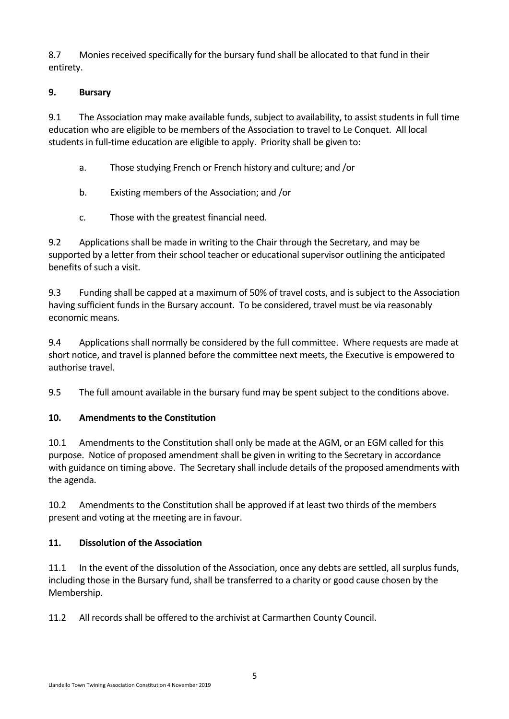8.7 Monies received specifically for the bursary fund shall be allocated to that fund in their entirety.

### **9. Bursary**

9.1 The Association may make available funds, subject to availability, to assist students in full time education who are eligible to be members of the Association to travel to Le Conquet. All local students in full-time education are eligible to apply. Priority shall be given to:

- a. Those studying French or French history and culture; and /or
- b. Existing members of the Association; and /or
- c. Those with the greatest financial need.

9.2 Applications shall be made in writing to the Chair through the Secretary, and may be supported by a letter from their school teacher or educational supervisor outlining the anticipated benefits of such a visit.

9.3 Funding shall be capped at a maximum of 50% of travel costs, and is subject to the Association having sufficient funds in the Bursary account. To be considered, travel must be via reasonably economic means.

9.4 Applications shall normally be considered by the full committee. Where requests are made at short notice, and travel is planned before the committee next meets, the Executive is empowered to authorise travel.

9.5 The full amount available in the bursary fund may be spent subject to the conditions above.

# **10. Amendments to the Constitution**

10.1 Amendments to the Constitution shall only be made at the AGM, or an EGM called for this purpose. Notice of proposed amendment shall be given in writing to the Secretary in accordance with guidance on timing above. The Secretary shall include details of the proposed amendments with the agenda.

10.2 Amendments to the Constitution shall be approved if at least two thirds of the members present and voting at the meeting are in favour.

# **11. Dissolution of the Association**

11.1 In the event of the dissolution of the Association, once any debts are settled, all surplus funds, including those in the Bursary fund, shall be transferred to a charity or good cause chosen by the Membership.

11.2 All records shall be offered to the archivist at Carmarthen County Council.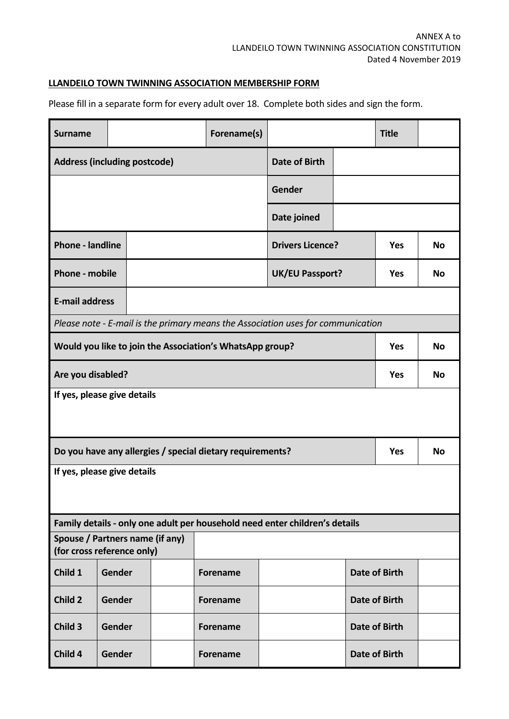### **LLANDEILO TOWN TWINNING ASSOCIATION MEMBERSHIP FORM**

Please fill in a separate form for every adult over 18. Complete both sides and sign the form.

| <b>Surname</b>                                                                   |                                     |           | Forename(s)     |                                                                             |                      | <b>Title</b> |           |  |  |  |  |
|----------------------------------------------------------------------------------|-------------------------------------|-----------|-----------------|-----------------------------------------------------------------------------|----------------------|--------------|-----------|--|--|--|--|
|                                                                                  | <b>Address (including postcode)</b> |           |                 | <b>Date of Birth</b>                                                        |                      |              |           |  |  |  |  |
|                                                                                  |                                     |           |                 | Gender                                                                      |                      |              |           |  |  |  |  |
|                                                                                  |                                     |           |                 | Date joined                                                                 |                      |              |           |  |  |  |  |
| <b>Phone - landline</b>                                                          |                                     |           |                 | <b>Drivers Licence?</b>                                                     | <b>Yes</b>           | <b>No</b>    |           |  |  |  |  |
| <b>Phone - mobile</b>                                                            | <b>UK/EU Passport?</b>              |           |                 |                                                                             |                      | <b>Yes</b>   | <b>No</b> |  |  |  |  |
| <b>E-mail address</b>                                                            |                                     |           |                 |                                                                             |                      |              |           |  |  |  |  |
| Please note - E-mail is the primary means the Association uses for communication |                                     |           |                 |                                                                             |                      |              |           |  |  |  |  |
| Would you like to join the Association's WhatsApp group?                         | <b>Yes</b>                          | <b>No</b> |                 |                                                                             |                      |              |           |  |  |  |  |
| Are you disabled?                                                                | <b>Yes</b>                          | <b>No</b> |                 |                                                                             |                      |              |           |  |  |  |  |
| If yes, please give details                                                      |                                     |           |                 |                                                                             |                      |              |           |  |  |  |  |
| Do you have any allergies / special dietary requirements?                        | <b>Yes</b>                          | <b>No</b> |                 |                                                                             |                      |              |           |  |  |  |  |
| If yes, please give details                                                      |                                     |           |                 |                                                                             |                      |              |           |  |  |  |  |
|                                                                                  |                                     |           |                 | Family details - only one adult per household need enter children's details |                      |              |           |  |  |  |  |
| Spouse / Partners name (if any)<br>(for cross reference only)                    |                                     |           |                 |                                                                             |                      |              |           |  |  |  |  |
| Child 1                                                                          | Gender                              |           | <b>Forename</b> | <b>Date of Birth</b>                                                        |                      |              |           |  |  |  |  |
| Child 2                                                                          | Gender                              |           | <b>Forename</b> |                                                                             | <b>Date of Birth</b> |              |           |  |  |  |  |
| Child 3                                                                          | Gender                              |           | <b>Forename</b> |                                                                             | <b>Date of Birth</b> |              |           |  |  |  |  |
| Child 4                                                                          | Gender                              |           | <b>Forename</b> |                                                                             | <b>Date of Birth</b> |              |           |  |  |  |  |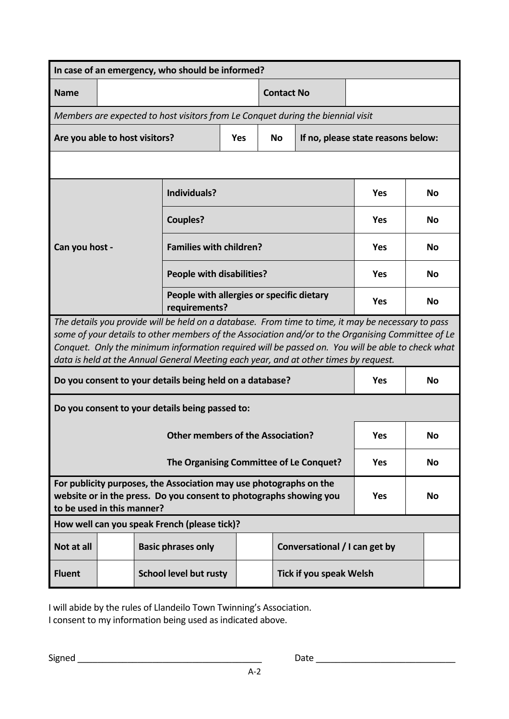| In case of an emergency, who should be informed?                                                                                                                                                                                                                                                                                                                                                    |                                                          |                                                            |                   |                                    |  |           |  |  |  |  |  |
|-----------------------------------------------------------------------------------------------------------------------------------------------------------------------------------------------------------------------------------------------------------------------------------------------------------------------------------------------------------------------------------------------------|----------------------------------------------------------|------------------------------------------------------------|-------------------|------------------------------------|--|-----------|--|--|--|--|--|
| <b>Name</b>                                                                                                                                                                                                                                                                                                                                                                                         |                                                          |                                                            | <b>Contact No</b> |                                    |  |           |  |  |  |  |  |
| Members are expected to host visitors from Le Conquet during the biennial visit                                                                                                                                                                                                                                                                                                                     |                                                          |                                                            |                   |                                    |  |           |  |  |  |  |  |
| Are you able to host visitors?                                                                                                                                                                                                                                                                                                                                                                      |                                                          | <b>Yes</b>                                                 | <b>No</b>         | If no, please state reasons below: |  |           |  |  |  |  |  |
|                                                                                                                                                                                                                                                                                                                                                                                                     |                                                          |                                                            |                   |                                    |  |           |  |  |  |  |  |
|                                                                                                                                                                                                                                                                                                                                                                                                     | Individuals?                                             |                                                            |                   |                                    |  | <b>No</b> |  |  |  |  |  |
|                                                                                                                                                                                                                                                                                                                                                                                                     | <b>Couples?</b>                                          |                                                            | <b>Yes</b>        | No                                 |  |           |  |  |  |  |  |
| Can you host -                                                                                                                                                                                                                                                                                                                                                                                      | <b>Families with children?</b>                           |                                                            | <b>Yes</b>        | No                                 |  |           |  |  |  |  |  |
|                                                                                                                                                                                                                                                                                                                                                                                                     | <b>People with disabilities?</b>                         |                                                            | <b>Yes</b>        | No                                 |  |           |  |  |  |  |  |
|                                                                                                                                                                                                                                                                                                                                                                                                     |                                                          | People with allergies or specific dietary<br>requirements? |                   |                                    |  |           |  |  |  |  |  |
| The details you provide will be held on a database. From time to time, it may be necessary to pass<br>some of your details to other members of the Association and/or to the Organising Committee of Le<br>Conquet. Only the minimum information required will be passed on. You will be able to check what<br>data is held at the Annual General Meeting each year, and at other times by request. |                                                          |                                                            |                   |                                    |  |           |  |  |  |  |  |
| Do you consent to your details being held on a database?                                                                                                                                                                                                                                                                                                                                            | <b>Yes</b>                                               | <b>No</b>                                                  |                   |                                    |  |           |  |  |  |  |  |
| Do you consent to your details being passed to:                                                                                                                                                                                                                                                                                                                                                     |                                                          |                                                            |                   |                                    |  |           |  |  |  |  |  |
|                                                                                                                                                                                                                                                                                                                                                                                                     | <b>Yes</b>                                               | No                                                         |                   |                                    |  |           |  |  |  |  |  |
|                                                                                                                                                                                                                                                                                                                                                                                                     | <b>Yes</b>                                               | No                                                         |                   |                                    |  |           |  |  |  |  |  |
| For publicity purposes, the Association may use photographs on the<br>website or in the press. Do you consent to photographs showing you<br>to be used in this manner?                                                                                                                                                                                                                              | <b>Yes</b>                                               | No                                                         |                   |                                    |  |           |  |  |  |  |  |
| How well can you speak French (please tick)?                                                                                                                                                                                                                                                                                                                                                        |                                                          |                                                            |                   |                                    |  |           |  |  |  |  |  |
| Not at all                                                                                                                                                                                                                                                                                                                                                                                          | <b>Basic phrases only</b>                                |                                                            |                   | Conversational / I can get by      |  |           |  |  |  |  |  |
| <b>Fluent</b>                                                                                                                                                                                                                                                                                                                                                                                       | <b>School level but rusty</b><br>Tick if you speak Welsh |                                                            |                   |                                    |  |           |  |  |  |  |  |

I will abide by the rules of Llandeilo Town Twinning's Association. I consent to my information being used as indicated above.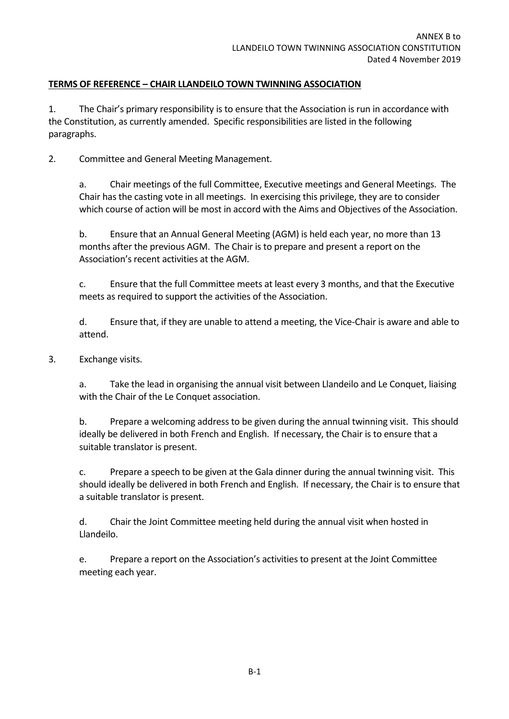#### **TERMS OF REFERENCE – CHAIR LLANDEILO TOWN TWINNING ASSOCIATION**

1. The Chair's primary responsibility is to ensure that the Association is run in accordance with the Constitution, as currently amended. Specific responsibilities are listed in the following paragraphs.

2. Committee and General Meeting Management.

a. Chair meetings of the full Committee, Executive meetings and General Meetings. The Chair has the casting vote in all meetings. In exercising this privilege, they are to consider which course of action will be most in accord with the Aims and Objectives of the Association.

b. Ensure that an Annual General Meeting (AGM) is held each year, no more than 13 months after the previous AGM. The Chair is to prepare and present a report on the Association's recent activities at the AGM.

c. Ensure that the full Committee meets at least every 3 months, and that the Executive meets as required to support the activities of the Association.

d. Ensure that, if they are unable to attend a meeting, the Vice‐Chair is aware and able to attend.

3. Exchange visits.

a. Take the lead in organising the annual visit between Llandeilo and Le Conquet, liaising with the Chair of the Le Conquet association.

b. Prepare a welcoming address to be given during the annual twinning visit. This should ideally be delivered in both French and English. If necessary, the Chair is to ensure that a suitable translator is present.

c. Prepare a speech to be given at the Gala dinner during the annual twinning visit. This should ideally be delivered in both French and English. If necessary, the Chair is to ensure that a suitable translator is present.

d. Chair the Joint Committee meeting held during the annual visit when hosted in Llandeilo.

e. Prepare a report on the Association's activities to present at the Joint Committee meeting each year.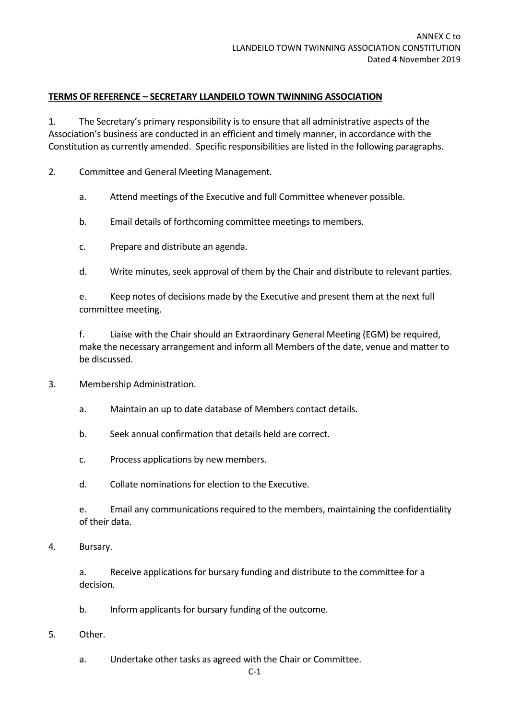#### **TERMS OF REFERENCE – SECRETARY LLANDEILO TOWN TWINNING ASSOCIATION**

1. The Secretary's primary responsibility is to ensure that all administrative aspects of the Association's business are conducted in an efficient and timely manner, in accordance with the Constitution as currently amended. Specific responsibilities are listed in the following paragraphs.

2. Committee and General Meeting Management.

- a. Attend meetings of the Executive and full Committee whenever possible.
- b. Email details of forthcoming committee meetings to members.
- c. Prepare and distribute an agenda.
- d. Write minutes, seek approval of them by the Chair and distribute to relevant parties.

e. Keep notes of decisions made by the Executive and present them at the next full committee meeting.

f. Liaise with the Chair should an Extraordinary General Meeting (EGM) be required, make the necessary arrangement and inform all Members of the date, venue and matter to be discussed.

- 3. Membership Administration.
	- a. Maintain an up to date database of Members contact details.
	- b. Seek annual confirmation that details held are correct.
	- c. Process applications by new members.
	- d. Collate nominations for election to the Executive.

e. Email any communications required to the members, maintaining the confidentiality of their data.

4. Bursary.

a. Receive applications for bursary funding and distribute to the committee for a decision.

- b. Inform applicants for bursary funding of the outcome.
- 5. Other.
	- a. Undertake other tasks as agreed with the Chair or Committee.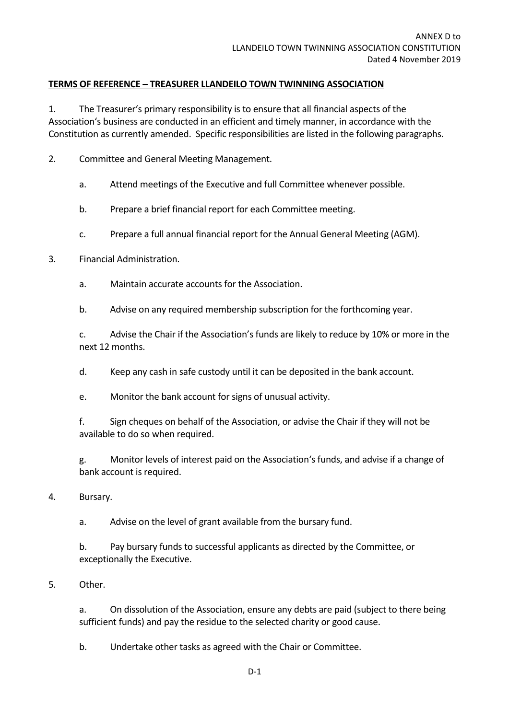#### **TERMS OF REFERENCE – TREASURER LLANDEILO TOWN TWINNING ASSOCIATION**

1. The Treasurer's primary responsibility is to ensure that all financial aspects of the Association's business are conducted in an efficient and timely manner, in accordance with the Constitution as currently amended. Specific responsibilities are listed in the following paragraphs.

- 2. Committee and General Meeting Management.
	- a. Attend meetings of the Executive and full Committee whenever possible.
	- b. Prepare a brief financial report for each Committee meeting.
	- c. Prepare a full annual financial report for the Annual General Meeting (AGM).
- 3. Financial Administration.
	- a. Maintain accurate accounts for the Association.
	- b. Advise on any required membership subscription for the forthcoming year.

c. Advise the Chair if the Association's funds are likely to reduce by 10% or more in the next 12 months.

- d. Keep any cash in safe custody until it can be deposited in the bank account.
- e. Monitor the bank account for signs of unusual activity.
- f. Sign cheques on behalf of the Association, or advise the Chair if they will not be available to do so when required.
- g. Monitor levels of interest paid on the Association's funds, and advise if a change of bank account is required.
- 4. Bursary.

a. Advise on the level of grant available from the bursary fund.

b. Pay bursary funds to successful applicants as directed by the Committee, or exceptionally the Executive.

5. Other.

a. On dissolution of the Association, ensure any debts are paid (subject to there being sufficient funds) and pay the residue to the selected charity or good cause.

b. Undertake other tasks as agreed with the Chair or Committee.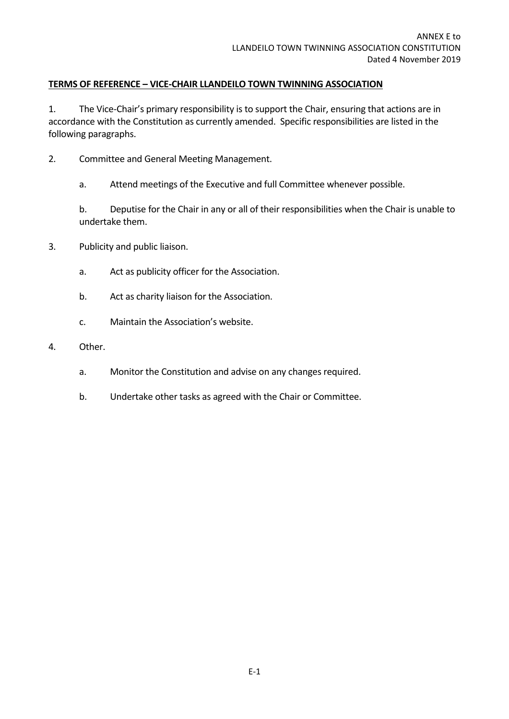#### **TERMS OF REFERENCE – VICE‐CHAIR LLANDEILO TOWN TWINNING ASSOCIATION**

1. The Vice-Chair's primary responsibility is to support the Chair, ensuring that actions are in accordance with the Constitution as currently amended. Specific responsibilities are listed in the following paragraphs.

- 2. Committee and General Meeting Management.
	- a. Attend meetings of the Executive and full Committee whenever possible.

b. Deputise for the Chair in any or all of their responsibilities when the Chair is unable to undertake them.

- 3. Publicity and public liaison.
	- a. Act as publicity officer for the Association.
	- b. Act as charity liaison for the Association.
	- c. Maintain the Association's website.
- 4. Other.
	- a. Monitor the Constitution and advise on any changes required.
	- b. Undertake other tasks as agreed with the Chair or Committee.